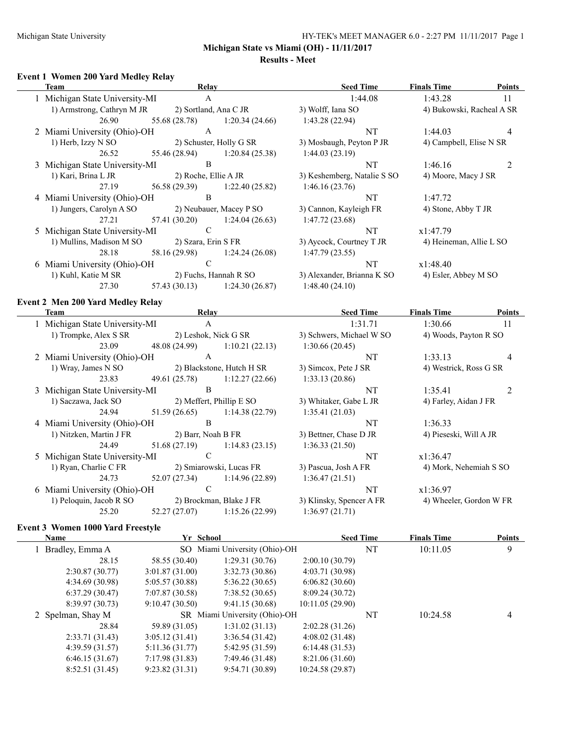#### Michigan State University **HY-TEK's MEET MANAGER 6.0 - 2:27 PM 11/11/2017** Page 1

**Michigan State vs Miami (OH) - 11/11/2017**

#### **Results - Meet**

#### **Event 1 Women 200 Yard Medley Relay**

| <b>Team</b>                                      | Relay                 |                                | <b>Seed Time</b>            | <b>Finals Time</b>        | <b>Points</b>  |
|--------------------------------------------------|-----------------------|--------------------------------|-----------------------------|---------------------------|----------------|
| 1 Michigan State University-MI                   | $\mathbf{A}$          |                                | 1:44.08                     | 1:43.28                   | 11             |
| 1) Armstrong, Cathryn M JR                       | 2) Sortland, Ana C JR |                                | 3) Wolff, Iana SO           | 4) Bukowski, Racheal A SR |                |
| 26.90                                            | 55.68 (28.78)         | 1:20.34(24.66)                 | 1:43.28(22.94)              |                           |                |
| 2 Miami University (Ohio)-OH                     | A                     |                                | <b>NT</b>                   | 1:44.03                   | 4              |
| 1) Herb, Izzy N SO                               |                       | 2) Schuster, Holly G SR        | 3) Mosbaugh, Peyton P JR    | 4) Campbell, Elise N SR   |                |
| 26.52                                            | 55.46 (28.94)         | 1:20.84(25.38)                 | 1:44.03(23.19)              |                           |                |
| 3 Michigan State University-MI                   | B                     |                                | NT.                         | 1:46.16                   | $\overline{2}$ |
| 1) Kari, Brina L JR                              | 2) Roche, Ellie A JR  |                                | 3) Keshemberg, Natalie S SO | 4) Moore, Macy J SR       |                |
| 27.19                                            |                       | 56.58 (29.39) 1:22.40 (25.82)  | 1:46.16(23.76)              |                           |                |
| 4 Miami University (Ohio)-OH                     | B                     |                                | NT.                         | 1:47.72                   |                |
| 1) Jungers, Carolyn A SO 2) Neubauer, Macey P SO |                       |                                | 3) Cannon, Kayleigh FR      | 4) Stone, Abby T JR       |                |
| 27.21                                            | 57.41 (30.20)         | 1:24.04(26.63)                 | 1:47.72(23.68)              |                           |                |
| 5 Michigan State University-MI                   | ${\bf C}$             |                                | NT                          | x1:47.79                  |                |
| 1) Mullins, Madison M SO                         | 2) Szara, Erin S FR   |                                | 3) Aycock, Courtney T JR    | 4) Heineman, Allie L SO   |                |
| 28.18                                            | 58.16 (29.98)         | 1:24.24(26.08)                 | 1:47.79(23.55)              |                           |                |
| 6 Miami University (Ohio)-OH                     | $\mathbf C$           |                                | NT                          | x1:48.40                  |                |
| 1) Kuhl, Katie M SR                              |                       | 2) Fuchs, Hannah R SO          | 3) Alexander, Brianna K SO  | 4) Esler, Abbey M SO      |                |
| 27.30                                            |                       | $57.43(30.13)$ 1:24.30 (26.87) | 1:48.40(24.10)              |                           |                |
| <b>Event 2 Men 200 Yard Medley Relay</b>         |                       |                                |                             |                           |                |
| Team                                             | <b>Relay</b>          |                                | <b>Seed Time</b>            | <b>Finals Time</b>        | <b>Points</b>  |
| 1 Michigan State University-MI                   | $\mathbf{A}$          |                                | 1:31.71                     | 1:30.66                   | -11            |
| 1) Trompke, Alex S SR                            | 2) Leshok, Nick G SR  |                                | 3) Schwers, Michael W SO    | 4) Woods, Payton R SO     |                |
| 23.09                                            |                       | 48.08 (24.99) 1:10.21 (22.13)  | 1:30.66(20.45)              |                           |                |
| 2 Miami University (Ohio)-OH                     | $\mathsf{A}$          |                                | <b>NT</b>                   | 1:33.13                   | 4              |
| 1) Wray, James N SO                              |                       | 2) Blackstone, Hutch H SR      | 3) Simcox, Pete J SR        | 4) Westrick, Ross G SR    |                |
|                                                  |                       |                                |                             |                           |                |

23.83 49.61 (25.78) 1:12.27 (22.66) 1:33.13 (20.86) 3 Michigan State University-MI B NT 1:35.41 2 1) Saczawa, Jack SO 2) Meffert, Phillip E SO 3) Whitaker, Gabe L JR 4) Farley, Aidan J FR 24.94 51.59 (26.65) 1:14.38 (22.79) 1:35.41 (21.03) 4 Miami University (Ohio)-OH B NT 1:36.33

1) Nitzken, Martin J FR 2) Barr, Noah B FR 3) Bettner, Chase D JR 4) Pieseski, Will A JR 24.49 51.68 (27.19) 1:14.83 (23.15) 1:36.33 (21.50) 5 Michigan State University-MI C NT X1:36.47

1) Ryan, Charlie C FR 2) Smiarowski, Lucas FR 3) Pascua, Josh A FR 4) Mork, Nehemiah S SO 24.73 52.07 (27.34) 1:14.96 (22.89) 1:36.47 (21.51) 6 Miami University (Ohio)-OH C NT x1:36.97

1) Peloquin, Jacob R SO 2) Brockman, Blake J FR 3) Klinsky, Spencer A FR 4) Wheeler, Gordon W FR 25.20 52.27 (27.07) 1:15.26 (22.99) 1:36.97 (21.71)

## **Event 3 Women 1000 Yard Freestyle**

| <b>Name</b>       | Yr School      |                               |                 | <b>Seed Time</b> | <b>Finals Time</b> | <b>Points</b> |
|-------------------|----------------|-------------------------------|-----------------|------------------|--------------------|---------------|
| 1 Bradley, Emma A |                | SO Miami University (Ohio)-OH |                 | NT               | 10:11.05           | 9             |
| 28.15             | 58.55 (30.40)  | 1:29.31(30.76)                | 2:00.10(30.79)  |                  |                    |               |
| 2:30.87(30.77)    | 3:01.87(31.00) | 3:32.73(30.86)                | 4:03.71(30.98)  |                  |                    |               |
| 4:34.69(30.98)    | 5:05.57(30.88) | 5:36.22(30.65)                | 6:06.82(30.60)  |                  |                    |               |
| 6:37.29(30.47)    | 7:07.87(30.58) | 7:38.52(30.65)                | 8:09.24(30.72)  |                  |                    |               |
| 8:39.97(30.73)    | 9:10.47(30.50) | 9:41.15(30.68)                | 10:11.05(29.90) |                  |                    |               |
| 2 Spelman, Shay M |                | SR Miami University (Ohio)-OH |                 | NT               | 10:24.58           | 4             |
| 28.84             | 59.89 (31.05)  | 1:31.02(31.13)                | 2:02.28(31.26)  |                  |                    |               |
| 2:33.71(31.43)    | 3:05.12(31.41) | 3:36.54(31.42)                | 4:08.02(31.48)  |                  |                    |               |
| 4:39.59(31.57)    | 5:11.36(31.77) | 5:42.95(31.59)                | 6:14.48(31.53)  |                  |                    |               |
| 6:46.15(31.67)    | 7:17.98(31.83) | 7:49.46(31.48)                | 8:21.06(31.60)  |                  |                    |               |
| 8:52.51(31.45)    | 9:23.82(31.31) | 9:54.71(30.89)                | 10:24.58(29.87) |                  |                    |               |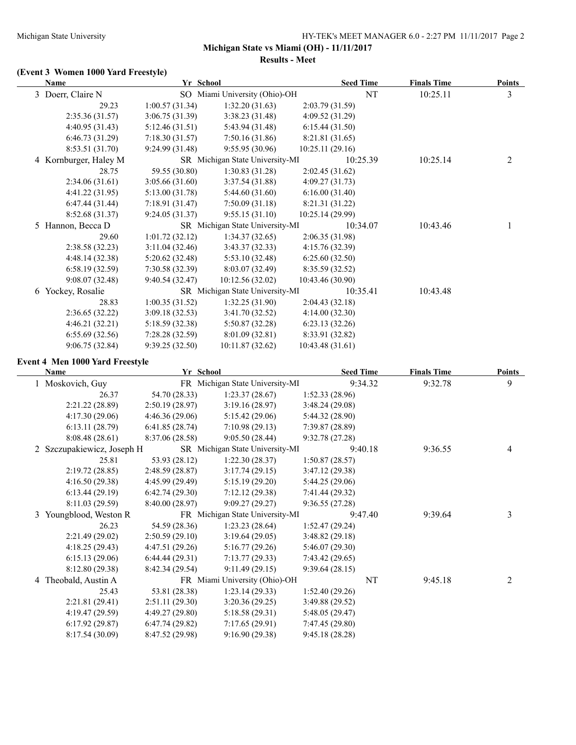**Results - Meet**

## **(Event 3 Women 1000 Yard Freestyle)**

| Name                  | Yr School      |                                 | <b>Seed Time</b> | <b>Finals Time</b> | <b>Points</b> |
|-----------------------|----------------|---------------------------------|------------------|--------------------|---------------|
| 3 Doerr, Claire N     |                | SO Miami University (Ohio)-OH   | NT               | 10:25.11           | 3             |
| 29.23                 | 1:00.57(31.34) | 1:32.20(31.63)                  | 2:03.79 (31.59)  |                    |               |
| 2:35.36(31.57)        | 3:06.75(31.39) | 3:38.23(31.48)                  | 4:09.52(31.29)   |                    |               |
| 4:40.95(31.43)        | 5:12.46(31.51) | 5:43.94 (31.48)                 | 6:15.44(31.50)   |                    |               |
| 6:46.73(31.29)        | 7:18.30(31.57) | 7:50.16(31.86)                  | 8:21.81 (31.65)  |                    |               |
| 8:53.51 (31.70)       | 9:24.99(31.48) | 9:55.95(30.96)                  | 10:25.11 (29.16) |                    |               |
| 4 Kornburger, Haley M |                | SR Michigan State University-MI | 10:25.39         | 10:25.14           | 2             |
| 28.75                 | 59.55 (30.80)  | 1:30.83(31.28)                  | 2:02.45(31.62)   |                    |               |
| 2:34.06(31.61)        | 3:05.66(31.60) | 3:37.54(31.88)                  | 4:09.27(31.73)   |                    |               |
| 4:41.22 (31.95)       | 5:13.00(31.78) | 5:44.60(31.60)                  | 6:16.00(31.40)   |                    |               |
| 6:47.44(31.44)        | 7:18.91(31.47) | 7:50.09(31.18)                  | 8:21.31 (31.22)  |                    |               |
| 8:52.68(31.37)        | 9:24.05(31.37) | 9:55.15(31.10)                  | 10:25.14 (29.99) |                    |               |
| 5 Hannon, Becca D     |                | SR Michigan State University-MI | 10:34.07         | 10:43.46           |               |
| 29.60                 | 1:01.72(32.12) | 1:34.37(32.65)                  | 2:06.35 (31.98)  |                    |               |
| 2:38.58(32.23)        | 3:11.04(32.46) | 3:43.37(32.33)                  | 4:15.76(32.39)   |                    |               |
| 4:48.14 (32.38)       | 5:20.62(32.48) | 5:53.10(32.48)                  | 6:25.60(32.50)   |                    |               |
| 6:58.19(32.59)        | 7:30.58(32.39) | 8:03.07 (32.49)                 | 8:35.59 (32.52)  |                    |               |
| 9:08.07(32.48)        | 9:40.54(32.47) | 10:12.56 (32.02)                | 10:43.46 (30.90) |                    |               |
| 6 Yockey, Rosalie     |                | SR Michigan State University-MI | 10:35.41         | 10:43.48           |               |
| 28.83                 | 1:00.35(31.52) | 1:32.25(31.90)                  | 2:04.43(32.18)   |                    |               |
| 2:36.65(32.22)        | 3:09.18(32.53) | 3:41.70 (32.52)                 | 4:14.00(32.30)   |                    |               |
| 4:46.21(32.21)        | 5:18.59(32.38) | 5:50.87(32.28)                  | 6:23.13(32.26)   |                    |               |
| 6:55.69(32.56)        | 7:28.28(32.59) | 8:01.09(32.81)                  | 8:33.91 (32.82)  |                    |               |
| 9:06.75(32.84)        | 9:39.25(32.50) | 10:11.87 (32.62)                | 10:43.48 (31.61) |                    |               |

### **Event 4 Men 1000 Yard Freestyle**

| <b>Name</b> |                            |                 | Yr School                       | <b>Seed Time</b> | <b>Finals Time</b> | <b>Points</b>  |
|-------------|----------------------------|-----------------|---------------------------------|------------------|--------------------|----------------|
|             | 1 Moskovich, Guy           |                 | FR Michigan State University-MI | 9:34.32          | 9:32.78            | 9              |
|             | 26.37                      | 54.70 (28.33)   | 1:23.37(28.67)                  | 1:52.33(28.96)   |                    |                |
|             | 2:21.22(28.89)             | 2:50.19(28.97)  | 3:19.16(28.97)                  | 3:48.24(29.08)   |                    |                |
|             | 4:17.30(29.06)             | 4:46.36(29.06)  | 5:15.42(29.06)                  | 5:44.32 (28.90)  |                    |                |
|             | 6:13.11(28.79)             | 6:41.85(28.74)  | 7:10.98(29.13)                  | 7:39.87 (28.89)  |                    |                |
|             | 8:08.48(28.61)             | 8:37.06(28.58)  | 9:05.50(28.44)                  | 9:32.78(27.28)   |                    |                |
|             | 2 Szczupakiewicz, Joseph H |                 | SR Michigan State University-MI | 9:40.18          | 9:36.55            | $\overline{4}$ |
|             | 25.81                      | 53.93 (28.12)   | 1:22.30(28.37)                  | 1:50.87(28.57)   |                    |                |
|             | 2:19.72(28.85)             | 2:48.59(28.87)  | 3:17.74(29.15)                  | 3:47.12(29.38)   |                    |                |
|             | 4:16.50(29.38)             | 4:45.99(29.49)  | 5:15.19(29.20)                  | 5:44.25 (29.06)  |                    |                |
|             | 6:13.44(29.19)             | 6:42.74(29.30)  | 7:12.12(29.38)                  | 7:41.44 (29.32)  |                    |                |
|             | 8:11.03(29.59)             | 8:40.00(28.97)  | 9:09.27(29.27)                  | 9:36.55(27.28)   |                    |                |
|             | 3 Youngblood, Weston R     |                 | FR Michigan State University-MI | 9:47.40          | 9:39.64            | 3              |
|             | 26.23                      | 54.59 (28.36)   | 1:23.23(28.64)                  | 1:52.47(29.24)   |                    |                |
|             | 2:21.49(29.02)             | 2:50.59(29.10)  | 3:19.64(29.05)                  | 3:48.82(29.18)   |                    |                |
|             | 4:18.25(29.43)             | 4:47.51(29.26)  | 5:16.77(29.26)                  | 5:46.07(29.30)   |                    |                |
|             | 6:15.13(29.06)             | 6:44.44(29.31)  | 7:13.77(29.33)                  | 7:43.42(29.65)   |                    |                |
|             | 8:12.80(29.38)             | 8:42.34(29.54)  | 9:11.49(29.15)                  | 9:39.64(28.15)   |                    |                |
|             | 4 Theobald, Austin A       |                 | FR Miami University (Ohio)-OH   | NT               | 9:45.18            | 2              |
|             | 25.43                      | 53.81 (28.38)   | 1:23.14(29.33)                  | 1:52.40(29.26)   |                    |                |
|             | 2:21.81(29.41)             | 2:51.11(29.30)  | 3:20.36(29.25)                  | 3:49.88(29.52)   |                    |                |
|             | 4:19.47(29.59)             | 4:49.27(29.80)  | 5:18.58(29.31)                  | 5:48.05(29.47)   |                    |                |
|             | 6:17.92(29.87)             | 6:47.74(29.82)  | 7:17.65(29.91)                  | 7:47.45 (29.80)  |                    |                |
|             | 8:17.54 (30.09)            | 8:47.52 (29.98) | 9:16.90(29.38)                  | 9:45.18(28.28)   |                    |                |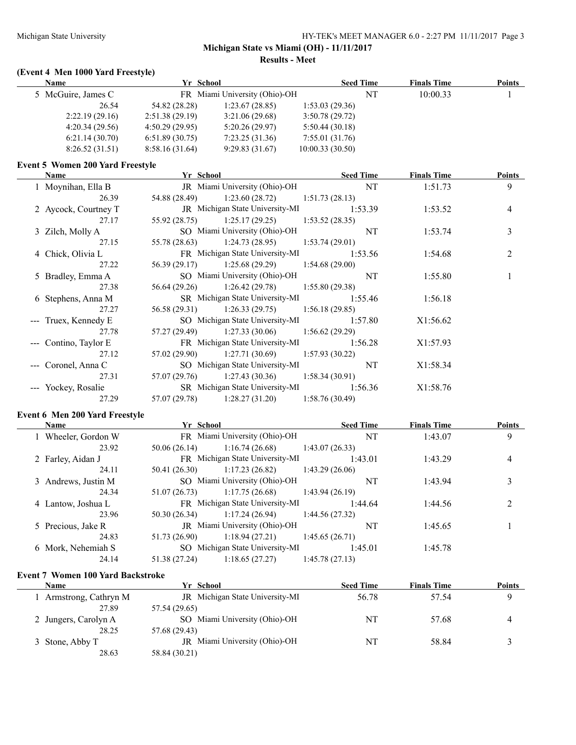**Results - Meet**

#### **(Event 4 Men 1000 Yard Freestyle)**

| <b>Name</b>        |                | Yr School                     | <b>Seed Time</b> |    | <b>Finals Time</b> | <b>Points</b> |
|--------------------|----------------|-------------------------------|------------------|----|--------------------|---------------|
| 5 McGuire, James C |                | FR Miami University (Ohio)-OH |                  | NT | 10:00.33           |               |
| 26.54              | 54.82 (28.28)  | 1:23.67(28.85)                | 1:53.03(29.36)   |    |                    |               |
| 2:22.19(29.16)     | 2:51.38(29.19) | 3:21.06(29.68)                | 3:50.78(29.72)   |    |                    |               |
| 4:20.34(29.56)     | 4:50.29(29.95) | 5:20.26(29.97)                | 5:50.44(30.18)   |    |                    |               |
| 6:21.14(30.70)     | 6:51.89(30.75) | 7:23.25(31.36)                | 7:55.01(31.76)   |    |                    |               |
| 8:26.52(31.51)     | 8:58.16(31.64) | 9:29.83(31.67)                | 10:00.33(30.50)  |    |                    |               |
|                    |                |                               |                  |    |                    |               |

#### **Event 5 Women 200 Yard Freestyle**

| Name                  | Yr School |                                                    |                | <b>Seed Time</b> | <b>Finals Time</b> | <b>Points</b>  |
|-----------------------|-----------|----------------------------------------------------|----------------|------------------|--------------------|----------------|
| 1 Moynihan, Ella B    |           | JR Miami University (Ohio)-OH                      |                | <b>NT</b>        | 1:51.73            | 9              |
| 26.39                 |           | 54.88 (28.49) 1:23.60 (28.72) 1:51.73 (28.13)      |                |                  |                    |                |
| 2 Aycock, Courtney T  |           | JR Michigan State University-MI 1:53.39            |                |                  | 1:53.52            | $\overline{4}$ |
| 27.17                 |           | $55.92(28.75)$ 1:25.17 (29.25) 1:53.52 (28.35)     |                |                  |                    |                |
| 3 Zilch, Molly A      |           | SO Miami University (Ohio)-OH                      |                | NT               | 1:53.74            | 3              |
| 27.15                 |           | $1:24.73(28.95)$ $1:24.73(28.95)$ $1:53.74(29.01)$ |                |                  |                    |                |
| 4 Chick, Olivia L     |           | FR Michigan State University-MI 1:53.56            |                |                  | 1:54.68            | $\overline{2}$ |
| 27.22                 |           | 56.39 (29.17) 1:25.68 (29.29) 1:54.68 (29.00)      |                |                  |                    |                |
| 5 Bradley, Emma A     |           | SO Miami University (Ohio)-OH                      |                | NT               | 1:55.80            |                |
| 27.38                 |           | 56.64 (29.26) 1:26.42 (29.78) 1:55.80 (29.38)      |                |                  |                    |                |
| 6 Stephens, Anna M    |           | SR Michigan State University-MI 1:55.46            |                |                  | 1:56.18            |                |
| 27.27                 |           | 56.58 (29.31) 1:26.33 (29.75) 1:56.18 (29.85)      |                |                  |                    |                |
| --- Truex, Kennedy E  |           | SO Michigan State University-MI                    |                | 1:57.80          | X1:56.62           |                |
| 27.78                 |           | $57.27(29.49)$ $1:27.33(30.06)$ $1:56.62(29.29)$   |                |                  |                    |                |
| --- Contino, Taylor E |           | FR Michigan State University-MI                    |                | 1:56.28          | X1:57.93           |                |
| 27.12                 |           | $57.02(29.90)$ $1:27.71(30.69)$ $1:57.93(30.22)$   |                |                  |                    |                |
| --- Coronel, Anna C   |           | SO Michigan State University-MI                    |                | NT               | X1:58.34           |                |
| 27.31                 |           | $57.07(29.76)$ 1:27.43 (30.36) 1:58.34 (30.91)     |                |                  |                    |                |
| --- Yockey, Rosalie   |           | SR Michigan State University-MI                    |                | 1:56.36          | X1:58.76           |                |
| 27.29                 |           | $57.07(29.78)$ $1:28.27(31.20)$                    | 1:58.76(30.49) |                  |                    |                |

### **Event 6 Men 200 Yard Freestyle**

| <b>Name</b>         | Yr School     |                                 | <b>Seed Time</b> | <b>Finals Time</b> | <b>Points</b> |
|---------------------|---------------|---------------------------------|------------------|--------------------|---------------|
| 1 Wheeler, Gordon W |               | FR Miami University (Ohio)-OH   | NT               | 1:43.07            | 9             |
| 23.92               | 50.06(26.14)  | 1:16.74(26.68)                  | 1:43.07(26.33)   |                    |               |
| 2 Farley, Aidan J   |               | FR Michigan State University-MI | 1:43.01          | 1:43.29            | 4             |
| 24.11               | 50.41 (26.30) | 1:17.23(26.82)                  | 1:43.29(26.06)   |                    |               |
| 3 Andrews, Justin M |               | SO Miami University (Ohio)-OH   | NT               | 1:43.94            |               |
| 24.34               | 51.07 (26.73) | 1:17.75(26.68)                  | 1:43.94(26.19)   |                    |               |
| 4 Lantow, Joshua L  |               | FR Michigan State University-MI | 1:44.64          | 1:44.56            |               |
| 23.96               | 50.30 (26.34) | 1:17.24(26.94)                  | 1:44.56(27.32)   |                    |               |
| 5 Precious, Jake R  |               | JR Miami University (Ohio)-OH   | NT               | 1:45.65            |               |
| 24.83               | 51.73 (26.90) | 1:18.94(27.21)                  | 1:45.65(26.71)   |                    |               |
| 6 Mork, Nehemiah S  |               | SO Michigan State University-MI | 1:45.01          | 1:45.78            |               |
| 24.14               | 51.38 (27.24) | 1:18.65(27.27)                  | 1:45.78(27.13)   |                    |               |
|                     |               |                                 |                  |                    |               |

### **Event 7 Women 100 Yard Backstroke**

| Name                 | Yr School                              | <b>Seed Time</b> | <b>Finals Time</b> | <b>Points</b> |
|----------------------|----------------------------------------|------------------|--------------------|---------------|
| Armstrong, Cathryn M | <b>JR</b> Michigan State University-MI | 56.78            | 57.54              |               |
| 27.89                | 57.54 (29.65)                          |                  |                    |               |
| 2 Jungers, Carolyn A | SO Miami University (Ohio)-OH          | NT               | 57.68              | 4             |
| 28.25                | 57.68 (29.43)                          |                  |                    |               |
| 3 Stone, Abby T      | JR Miami University (Ohio)-OH          | NT               | 58.84              |               |
| 28.63                | 58.84 (30.21)                          |                  |                    |               |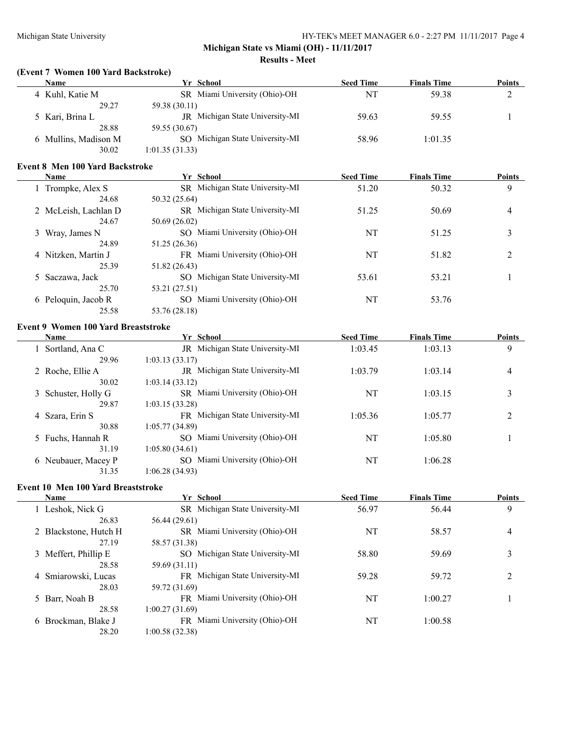#### Michigan State University HY-TEK's MEET MANAGER 6.0 - 2:27 PM 11/11/2017 Page 4

# **Michigan State vs Miami (OH) - 11/11/2017**

#### **Results - Meet**

#### **(Event 7 Women 100 Yard Backstroke)**

| <b>Name</b>          | Yr School                       | <b>Seed Time</b> | <b>Finals Time</b> | <b>Points</b> |
|----------------------|---------------------------------|------------------|--------------------|---------------|
| 4 Kuhl, Katie M      | SR Miami University (Ohio)-OH   | NT               | 59.38              |               |
| 29.27                | 59.38 (30.11)                   |                  |                    |               |
| 5 Kari, Brina L      | JR Michigan State University-MI | 59.63            | 59.55              |               |
| 28.88                | 59.55 (30.67)                   |                  |                    |               |
| 6 Mullins, Madison M | SO Michigan State University-MI | 58.96            | 1:01.35            |               |
| 30.02                | 1:01.35(31.33)                  |                  |                    |               |

#### **Event 8 Men 100 Yard Backstroke**

| <b>Name</b>          | Yr School                              | <b>Seed Time</b> | <b>Finals Time</b> | <b>Points</b> |
|----------------------|----------------------------------------|------------------|--------------------|---------------|
| Trompke, Alex S      | SR Michigan State University-MI        | 51.20            | 50.32              | 9             |
| 24.68                | 50.32 (25.64)                          |                  |                    |               |
| 2 McLeish, Lachlan D | <b>SR</b> Michigan State University-MI | 51.25            | 50.69              | 4             |
| 24.67                | 50.69 (26.02)                          |                  |                    |               |
| 3 Wray, James N      | SO Miami University (Ohio)-OH          | NT               | 51.25              | 3             |
| 24.89                | 51.25 (26.36)                          |                  |                    |               |
| 4 Nitzken, Martin J  | FR Miami University (Ohio)-OH          | NT               | 51.82              | 2             |
| 25.39                | 51.82 (26.43)                          |                  |                    |               |
| 5 Saczawa, Jack      | SO Michigan State University-MI        | 53.61            | 53.21              |               |
| 25.70                | 53.21 (27.51)                          |                  |                    |               |
| 6 Peloquin, Jacob R  | SO Miami University (Ohio)-OH          | NT               | 53.76              |               |
| 25.58                | 53.76 (28.18)                          |                  |                    |               |

### **Event 9 Women 100 Yard Breaststroke**

| Name                | Yr School                          | <b>Seed Time</b> | <b>Finals Time</b> | <b>Points</b>  |
|---------------------|------------------------------------|------------------|--------------------|----------------|
| 1 Sortland, Ana C   | Michigan State University-MI<br>JR | 1:03.45          | 1:03.13            | 9              |
| 29.96               | 1:03.13(33.17)                     |                  |                    |                |
| 2 Roche, Ellie A    | Michigan State University-MI<br>JR | 1:03.79          | 1:03.14            | $\overline{4}$ |
| 30.02               | 1:03.14(33.12)                     |                  |                    |                |
| 3 Schuster, Holly G | SR Miami University (Ohio)-OH      | NT               | 1:03.15            | 3              |
| 29.87               | 1:03.15(33.28)                     |                  |                    |                |
| 4 Szara, Erin S     | FR Michigan State University-MI    | 1:05.36          | 1:05.77            | 2              |
| 30.88               | 1:05.77(34.89)                     |                  |                    |                |
| 5 Fuchs, Hannah R   | SO Miami University (Ohio)-OH      | NT               | 1:05.80            |                |
| 31.19               | 1:05.80(34.61)                     |                  |                    |                |
| 6 Neubauer, Macey P | SO Miami University (Ohio)-OH      | NT               | 1:06.28            |                |
| 31.35               | 1:06.28 (34.93)                    |                  |                    |                |

#### **Event 10 Men 100 Yard Breaststroke**

 $\overline{a}$ 

| Name                   | Yr School                       | <b>Seed Time</b> | <b>Finals Time</b> | <b>Points</b>  |
|------------------------|---------------------------------|------------------|--------------------|----------------|
| Leshok, Nick G         | SR Michigan State University-MI | 56.97            | 56.44              | 9              |
| 26.83                  | 56.44 (29.61)                   |                  |                    |                |
| Blackstone, Hutch H    | SR Miami University (Ohio)-OH   | NT               | 58.57              | 4              |
| 27.19                  | 58.57 (31.38)                   |                  |                    |                |
| 3 Meffert, Phillip E   | SO Michigan State University-MI | 58.80            | 59.69              | 3              |
| 28.58                  | 59.69 (31.11)                   |                  |                    |                |
| 4 Smiarowski, Lucas    | FR Michigan State University-MI | 59.28            | 59.72              | $\overline{c}$ |
| 28.03                  | 59.72 (31.69)                   |                  |                    |                |
| 5 Barr, Noah B         | FR Miami University (Ohio)-OH   | NT               | 1:00.27            |                |
| 28.58                  | 1:00.27 (31.69)                 |                  |                    |                |
| Brockman, Blake J<br>6 | FR Miami University (Ohio)-OH   | NT               | 1:00.58            |                |
| 28.20                  | 1:00.58 (32.38)                 |                  |                    |                |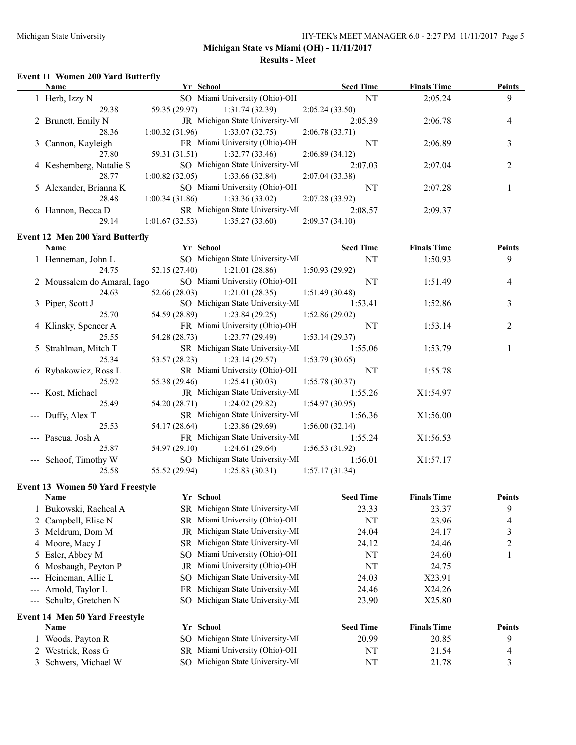$\overline{\phantom{0}}$ 

#### **Michigan State vs Miami (OH) - 11/11/2017 Results - Meet**

#### **Event 11 Women 200 Yard Butterfly**

| <b>Name</b>             | Yr School      |                                        | <b>Seed Time</b> | <b>Finals Time</b> | <b>Points</b> |
|-------------------------|----------------|----------------------------------------|------------------|--------------------|---------------|
| 1 Herb, Izzy N          |                | SO Miami University (Ohio)-OH          | <b>NT</b>        | 2:05.24            | 9             |
| 29.38                   | 59.35 (29.97)  | 1:31.74(32.39)                         | 2:05.24(33.50)   |                    |               |
| 2 Brunett, Emily N      |                | <b>JR</b> Michigan State University-MI | 2:05.39          | 2:06.78            | 4             |
| 28.36                   | 1:00.32(31.96) | 1:33.07(32.75)                         | 2:06.78(33.71)   |                    |               |
| 3 Cannon, Kayleigh      |                | FR Miami University (Ohio)-OH          | NT               | 2:06.89            |               |
| 27.80                   | 59.31 (31.51)  | 1:32.77(33.46)                         | 2:06.89(34.12)   |                    |               |
| 4 Keshemberg, Natalie S |                | SO Michigan State University-MI        | 2:07.03          | 2:07.04            |               |
| 28.77                   | 1:00.82(32.05) | 1:33.66(32.84)                         | 2:07.04(33.38)   |                    |               |
| 5 Alexander, Brianna K  |                | SO Miami University (Ohio)-OH          | NT               | 2:07.28            |               |
| 28.48                   | 1:00.34(31.86) | 1:33.36(33.02)                         | 2:07.28(33.92)   |                    |               |
| 6 Hannon, Becca D       |                | SR Michigan State University-MI        | 2:08.57          | 2:09.37            |               |
| 29.14                   | 1:01.67(32.53) | 1:35.27(33.60)                         | 2:09.37(34.10)   |                    |               |

#### **Event 12 Men 200 Yard Butterfly**

| Name                        | Yr School                                          | <b>Seed Time</b> | <b>Finals Time</b> | Points         |
|-----------------------------|----------------------------------------------------|------------------|--------------------|----------------|
| 1 Henneman, John L          | SO Michigan State University-MI NT                 |                  | 1:50.93            | 9              |
| 24.75                       | 52.15 (27.40) 1:21.01 (28.86) 1:50.93 (29.92)      |                  |                    |                |
| 2 Moussalem do Amaral, Iago | SO Miami University (Ohio)-OH                      | NT               | 1:51.49            | $\overline{4}$ |
| 24.63                       | $52.66(28.03)$ 1:21.01 (28.35) 1:51.49 (30.48)     |                  |                    |                |
| 3 Piper, Scott J            | SO Michigan State University-MI 1:53.41            |                  | 1:52.86            | 3              |
| 25.70                       | 54.59 (28.89) 1:23.84 (29.25) 1:52.86 (29.02)      |                  |                    |                |
| 4 Klinsky, Spencer A        | FR Miami University (Ohio)-OH                      | NT               | 1:53.14            | 2              |
| 25.55                       | 54.28 (28.73) 1:23.77 (29.49) 1:53.14 (29.37)      |                  |                    |                |
| 5 Strahlman, Mitch T        | SR Michigan State University-MI                    | 1:55.06          | 1:53.79            | 1              |
| 25.34                       | 53.57 (28.23) 1:23.14 (29.57) 1:53.79 (30.65)      |                  |                    |                |
| 6 Rybakowicz, Ross L        | SR Miami University (Ohio)-OH                      | NT               | 1:55.78            |                |
| 25.92                       | $1:25.41(30.03)$ $1:25.41(30.03)$ $1:55.78(30.37)$ |                  |                    |                |
| --- Kost, Michael           | JR Michigan State University-MI                    | 1:55.26          | X1:54.97           |                |
| 25.49                       | 54.20 (28.71) 1:24.02 (29.82) 1:54.97 (30.95)      |                  |                    |                |
| --- Duffy, Alex T           | SR Michigan State University-MI                    | 1:56.36          | X1:56.00           |                |
| 25.53                       | 54.17 (28.64) 1:23.86 (29.69) 1:56.00 (32.14)      |                  |                    |                |
| --- Pascua, Josh A          | FR Michigan State University-MI                    | 1:55.24          | X1:56.53           |                |
| 25.87                       | 54.97 (29.10) 1:24.61 (29.64) 1:56.53 (31.92)      |                  |                    |                |
| --- Schoof, Timothy W       | SO Michigan State University-MI                    | 1:56.01          | X1:57.17           |                |
| 25.58                       | $55.52(29.94)$ 1:25.83 (30.31)                     | 1:57.17(31.34)   |                    |                |

#### **Event 13 Women 50 Yard Freestyle**

| <b>Name</b>                           |     | Yr School                       | <b>Seed Time</b> | <b>Finals Time</b> | <b>Points</b> |
|---------------------------------------|-----|---------------------------------|------------------|--------------------|---------------|
| 1 Bukowski, Racheal A                 |     | SR Michigan State University-MI | 23.33            | 23.37              | 9             |
| 2 Campbell, Elise N                   |     | SR Miami University (Ohio)-OH   | NT               | 23.96              | 4             |
| 3 Meldrum, Dom M                      | JR  | Michigan State University-MI    | 24.04            | 24.17              | 3             |
| 4 Moore, Macy J                       |     | SR Michigan State University-MI | 24.12            | 24.46              |               |
| 5 Esler, Abbey M                      |     | SO Miami University (Ohio)-OH   | NT               | 24.60              |               |
| 6 Mosbaugh, Peyton P                  |     | JR Miami University (Ohio)-OH   | NT               | 24.75              |               |
| --- Heineman, Allie L                 | SO. | Michigan State University-MI    | 24.03            | X23.91             |               |
| --- Arnold, Taylor L                  |     | FR Michigan State University-MI | 24.46            | X24.26             |               |
| --- Schultz, Gretchen N               | SO. | Michigan State University-MI    | 23.90            | X25.80             |               |
| <b>Event 14 Men 50 Yard Freestyle</b> |     |                                 |                  |                    |               |
| Name                                  |     | Yr School                       | <b>Seed Time</b> | <b>Finals Time</b> | Points        |
| Woods, Payton R                       |     | SO Michigan State University-MI | 20.99            | 20.85              | 9             |
| Westrick, Ross G                      |     | SR Miami University (Ohio)-OH   | NT               | 21.54              | 4             |
| 3 Schwers, Michael W                  |     | SO Michigan State University-MI | NT               | 21.78              | 3             |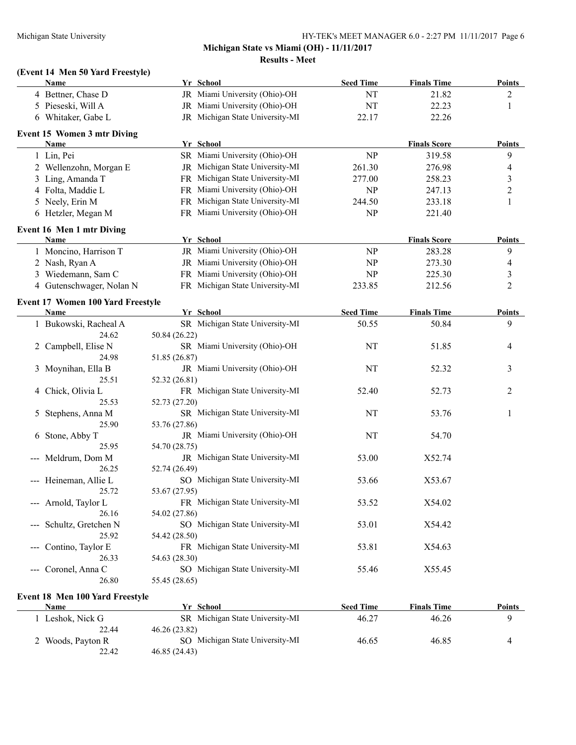### **Michigan State vs Miami (OH) - 11/11/2017 Results - Meet**

## **(Event 14 Men 50 Yard Freestyle)**

|                                          | Name                                     |               | Yr School                       | <b>Seed Time</b> | <b>Finals Time</b>  | <b>Points</b>  |
|------------------------------------------|------------------------------------------|---------------|---------------------------------|------------------|---------------------|----------------|
|                                          | 4 Bettner, Chase D                       |               | JR Miami University (Ohio)-OH   | NT               | 21.82               | $\overline{c}$ |
|                                          | 5 Pieseski, Will A                       |               | JR Miami University (Ohio)-OH   | NT               | 22.23               | 1              |
|                                          | 6 Whitaker, Gabe L                       |               | JR Michigan State University-MI | 22.17            | 22.26               |                |
|                                          | <b>Event 15 Women 3 mtr Diving</b>       |               |                                 |                  |                     |                |
|                                          | <b>Name</b>                              |               | Yr School                       |                  | <b>Finals Score</b> | <b>Points</b>  |
|                                          | 1 Lin, Pei                               |               | SR Miami University (Ohio)-OH   | NP               | 319.58              | 9              |
|                                          | 2 Wellenzohn, Morgan E                   |               | JR Michigan State University-MI | 261.30           | 276.98              | 4              |
|                                          | 3 Ling, Amanda T                         |               | FR Michigan State University-MI | 277.00           | 258.23              | 3              |
|                                          | 4 Folta, Maddie L                        |               | FR Miami University (Ohio)-OH   | NP               | 247.13              | $\overline{c}$ |
|                                          | 5 Neely, Erin M                          |               | FR Michigan State University-MI | 244.50           | 233.18              | 1              |
|                                          | 6 Hetzler, Megan M                       |               | FR Miami University (Ohio)-OH   | NP               | 221.40              |                |
|                                          | <b>Event 16 Men 1 mtr Diving</b>         |               |                                 |                  |                     |                |
|                                          | Name                                     |               | Yr School                       |                  | <b>Finals Score</b> | <b>Points</b>  |
|                                          | 1 Moncino, Harrison T                    |               | JR Miami University (Ohio)-OH   | NP               | 283.28              | 9              |
|                                          | 2 Nash, Ryan A                           |               | JR Miami University (Ohio)-OH   | <b>NP</b>        | 273.30              | 4              |
|                                          | 3 Wiedemann, Sam C                       |               | FR Miami University (Ohio)-OH   | <b>NP</b>        | 225.30              | 3              |
|                                          | 4 Gutenschwager, Nolan N                 |               | FR Michigan State University-MI | 233.85           | 212.56              | $\overline{2}$ |
|                                          | <b>Event 17 Women 100 Yard Freestyle</b> |               |                                 |                  |                     |                |
|                                          | Name                                     |               | Yr School                       | <b>Seed Time</b> | <b>Finals Time</b>  | <b>Points</b>  |
|                                          | 1 Bukowski, Racheal A                    |               | SR Michigan State University-MI | 50.55            | 50.84               | 9              |
|                                          | 24.62                                    | 50.84 (26.22) |                                 |                  |                     |                |
| 2                                        | Campbell, Elise N                        |               | SR Miami University (Ohio)-OH   | NT               | 51.85               | 4              |
|                                          | 24.98                                    | 51.85 (26.87) |                                 |                  |                     |                |
|                                          | 3 Moynihan, Ella B                       |               | JR Miami University (Ohio)-OH   | NT               | 52.32               | 3              |
|                                          | 25.51                                    | 52.32 (26.81) |                                 |                  |                     |                |
|                                          | 4 Chick, Olivia L                        |               | FR Michigan State University-MI | 52.40            | 52.73               | 2              |
|                                          | 25.53                                    | 52.73 (27.20) |                                 |                  |                     |                |
| 5                                        | Stephens, Anna M                         |               | SR Michigan State University-MI | NT               | 53.76               | 1              |
|                                          | 25.90                                    | 53.76 (27.86) |                                 |                  |                     |                |
|                                          | 6 Stone, Abby T                          |               | JR Miami University (Ohio)-OH   | NT               | 54.70               |                |
|                                          | 25.95                                    | 54.70 (28.75) |                                 |                  |                     |                |
|                                          | --- Meldrum, Dom M                       |               | JR Michigan State University-MI | 53.00            | X52.74              |                |
|                                          | 26.25                                    | 52.74 (26.49) |                                 |                  |                     |                |
|                                          | --- Heineman, Allie L                    |               | SO Michigan State University-MI | 53.66            | X53.67              |                |
|                                          | 25.72                                    | 53.67 (27.95) |                                 |                  |                     |                |
|                                          | --- Arnold, Taylor L                     |               | FR Michigan State University-MI | 53.52            | X54.02              |                |
|                                          | 26.16                                    | 54.02 (27.86) |                                 |                  |                     |                |
| $\qquad \qquad - -$                      | Schultz, Gretchen N                      |               | SO Michigan State University-MI | 53.01            | X54.42              |                |
|                                          | 25.92                                    | 54.42 (28.50) |                                 |                  |                     |                |
| $\qquad \qquad -$                        | Contino, Taylor E                        |               | FR Michigan State University-MI | 53.81            | X54.63              |                |
|                                          | 26.33                                    | 54.63 (28.30) |                                 |                  |                     |                |
| $\hspace{0.05cm} \ldots \hspace{0.05cm}$ | Coronel, Anna C                          |               | SO Michigan State University-MI | 55.46            | X55.45              |                |
|                                          | 26.80                                    | 55.45 (28.65) |                                 |                  |                     |                |

#### **Event 18 Men 100 Yard Freestyle**

| Name              | Yr School                       | <b>Seed Time</b> | <b>Finals Time</b> | <b>Points</b> |
|-------------------|---------------------------------|------------------|--------------------|---------------|
| Leshok, Nick G    | SR Michigan State University-MI | 46.27            | 46.26              |               |
| 22.44             | 46.26 (23.82)                   |                  |                    |               |
| 2 Woods, Payton R | SO Michigan State University-MI | 46.65            | 46.85              |               |
| 22.42             | 46.85 (24.43)                   |                  |                    |               |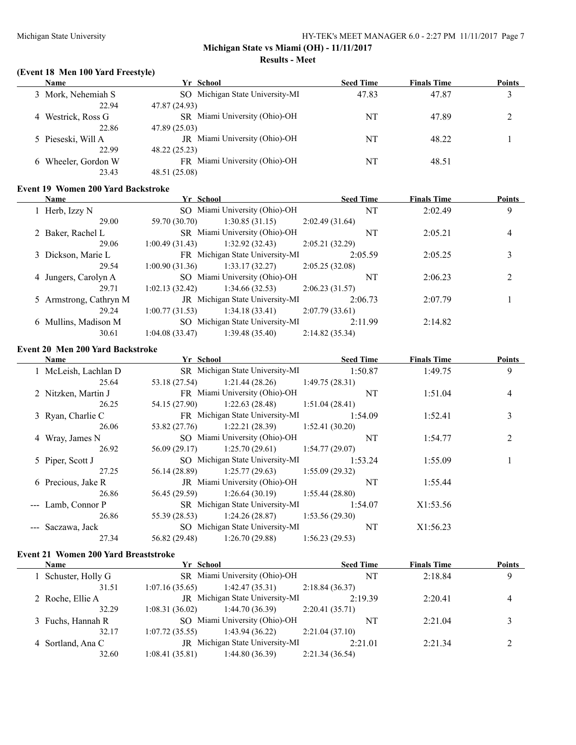#### **Michigan State vs Miami (OH) - 11/11/2017 Results - Meet**

#### **(Event 18 Men 100 Yard Freestyle)**

| <b>Name</b>            | Yr School                       | <b>Seed Time</b> | <b>Finals Time</b> | <b>Points</b> |
|------------------------|---------------------------------|------------------|--------------------|---------------|
| 3 Mork, Nehemiah S     | SO Michigan State University-MI | 47.83            | 47.87              |               |
| 22.94                  | 47.87 (24.93)                   |                  |                    |               |
| 4 Westrick, Ross G     | SR Miami University (Ohio)-OH   | NT               | 47.89              |               |
| 22.86                  | 47.89 (25.03)                   |                  |                    |               |
| 5 Pieseski, Will A     | JR Miami University (Ohio)-OH   | NT               | 48.22              |               |
| 22.99                  | 48.22 (25.23)                   |                  |                    |               |
| Wheeler, Gordon W<br>6 | FR Miami University (Ohio)-OH   | NT               | 48.51              |               |
| 23.43                  | 48.51 (25.08)                   |                  |                    |               |

### **Event 19 Women 200 Yard Backstroke**

| <b>Name</b>            | Yr School      |                                        | <b>Seed Time</b> | <b>Finals Time</b> | <b>Points</b> |
|------------------------|----------------|----------------------------------------|------------------|--------------------|---------------|
| 1 Herb, Izzy N         |                | SO Miami University (Ohio)-OH          | <b>NT</b>        | 2:02.49            | 9             |
| 29.00                  | 59.70 (30.70)  | 1:30.85(31.15)                         | 2:02.49(31.64)   |                    |               |
| 2 Baker, Rachel L      |                | SR Miami University (Ohio)-OH          | <b>NT</b>        | 2:05.21            | 4             |
| 29.06                  | 1:00.49(31.43) | 1:32.92(32.43)                         | 2:05.21(32.29)   |                    |               |
| 3 Dickson, Marie L     |                | FR Michigan State University-MI        | 2:05.59          | 2:05.25            |               |
| 29.54                  | 1:00.90(31.36) | 1:33.17(32.27)                         | 2:05.25(32.08)   |                    |               |
| 4 Jungers, Carolyn A   |                | SO Miami University (Ohio)-OH          | NT               | 2:06.23            |               |
| 29.71                  | 1:02.13(32.42) | 1:34.66(32.53)                         | 2:06.23(31.57)   |                    |               |
| 5 Armstrong, Cathryn M |                | <b>JR</b> Michigan State University-MI | 2:06.73          | 2:07.79            |               |
| 29.24                  | 1:00.77(31.53) | 1:34.18(33.41)                         | 2:07.79(33.61)   |                    |               |
| 6 Mullins, Madison M   |                | SO Michigan State University-MI        | 2:11.99          | 2:14.82            |               |
| 30.61                  | 1:04.08(33.47) | 1:39.48(35.40)                         | 2:14.82(35.34)   |                    |               |

### **Event 20 Men 200 Yard Backstroke**

| <b>Name</b>          | Yr School     |                                   | <b>Seed Time</b> | <b>Finals Time</b> | <b>Points</b>  |
|----------------------|---------------|-----------------------------------|------------------|--------------------|----------------|
| 1 McLeish, Lachlan D |               | SR Michigan State University-MI   | 1:50.87          | 1:49.75            | 9              |
| 25.64                | 53.18 (27.54) | 1:21.44 (28.26)                   | 1:49.75(28.31)   |                    |                |
| 2 Nitzken, Martin J  |               | FR Miami University (Ohio)-OH     | NT               | 1:51.04            | 4              |
| 26.25                | 54.15 (27.90) | $1:22.63(28.48)$ $1:51.04(28.41)$ |                  |                    |                |
| 3 Ryan, Charlie C    |               | FR Michigan State University-MI   | 1:54.09          | 1:52.41            | 3              |
| 26.06                | 53.82 (27.76) | 1:22.21(28.39)                    | 1:52.41(30.20)   |                    |                |
| 4 Wray, James N      |               | SO Miami University (Ohio)-OH     | NT               | 1:54.77            | $\overline{2}$ |
| 26.92                | 56.09 (29.17) | 1:25.70(29.61)                    | 1:54.77(29.07)   |                    |                |
| 5 Piper, Scott J     |               | SO Michigan State University-MI   | 1:53.24          | 1:55.09            |                |
| 27.25                | 56.14 (28.89) | 1:25.77(29.63)                    | 1:55.09(29.32)   |                    |                |
| 6 Precious, Jake R   |               | JR Miami University (Ohio)-OH     | NT               | 1:55.44            |                |
| 26.86                | 56.45 (29.59) | $1:26.64(30.19)$ $1:55.44(28.80)$ |                  |                    |                |
| --- Lamb, Connor P   |               | SR Michigan State University-MI   | 1:54.07          | X1:53.56           |                |
| 26.86                | 55.39 (28.53) | 1:24.26(28.87)                    | 1:53.56(29.30)   |                    |                |
| --- Saczawa, Jack    |               | SO Michigan State University-MI   | NT               | X1:56.23           |                |
| 27.34                | 56.82 (29.48) | 1:26.70(29.88)                    | 1:56.23(29.53)   |                    |                |

### **Event 21 Women 200 Yard Breaststroke**

| <b>Name</b>         | Yr School      |                                 | <b>Seed Time</b> | <b>Finals Time</b> | <b>Points</b> |
|---------------------|----------------|---------------------------------|------------------|--------------------|---------------|
| 1 Schuster, Holly G |                | SR Miami University (Ohio)-OH   |                  | 2:18.84            | 9             |
| 31.51               | 1:07.16(35.65) | 1:42.47(35.31)                  | 2:18.84(36.37)   |                    |               |
| 2 Roche, Ellie A    |                | JR Michigan State University-MI | 2.1939           | 2:20.41            | 4             |
| 32.29               | 1:08.31(36.02) | 1:44.70 (36.39)                 | 2:20.41(35.71)   |                    |               |
| 3 Fuchs, Hannah R   |                | SO Miami University (Ohio)-OH   | NT               | 2:21.04            |               |
| 32.17               | 1:07.72(35.55) | 1:43.94(36.22)                  | 2:21.04(37.10)   |                    |               |
| 4 Sortland, Ana C   |                | JR Michigan State University-MI | 2:21.01          | 2:21.34            |               |
| 32.60               | 1:08.41(35.81) | 1:44.80(36.39)                  | 2:21.34(36.54)   |                    |               |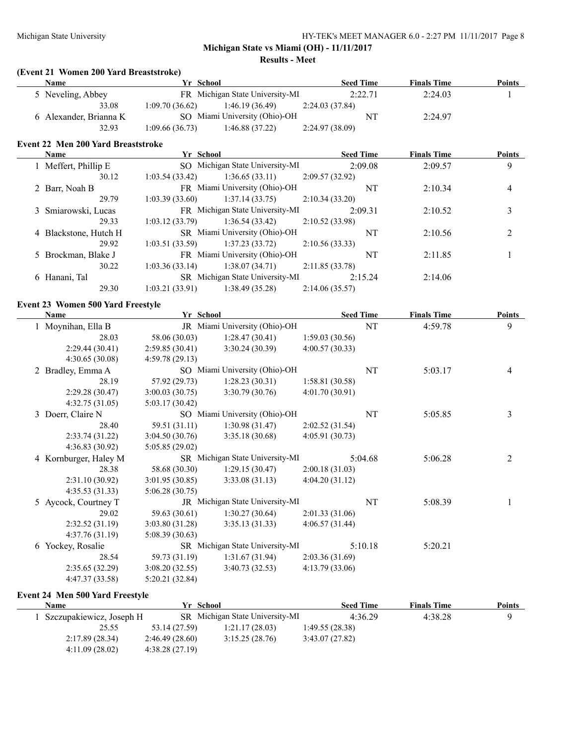**Results - Meet**

#### **(Event 21 Women 200 Yard Breaststroke)**

| Name                   | Yr School      |                                 |                 | <b>Seed Time</b> | <b>Finals Time</b> | Points |
|------------------------|----------------|---------------------------------|-----------------|------------------|--------------------|--------|
| 5 Neveling, Abbey      |                | FR Michigan State University-MI |                 | 2:22.71          | 2:24.03            |        |
| 33.08                  | 1:09.70(36.62) | 1:46.19 (36.49)                 | 2:24.03 (37.84) |                  |                    |        |
| 6 Alexander, Brianna K |                | SO Miami University (Ohio)-OH   |                 | NT               | 2:24.97            |        |
| 32.93                  | 1:09.66(36.73) | 1:46.88(37.22)                  | 2:24.97 (38.09) |                  |                    |        |

#### **Event 22 Men 200 Yard Breaststroke**

| <b>Name</b>           | Yr School      |                                 | <b>Seed Time</b> | <b>Finals Time</b> | <b>Points</b> |
|-----------------------|----------------|---------------------------------|------------------|--------------------|---------------|
| 1 Meffert, Phillip E  |                | SO Michigan State University-MI | 2:09.08          | 2:09.57            | 9             |
| 30.12                 | 1:03.54(33.42) | 1:36.65(33.11)                  | 2:09.57(32.92)   |                    |               |
| 2 Barr, Noah B        |                | FR Miami University (Ohio)-OH   | NT               | 2:10.34            | 4             |
| 29.79                 | 1:03.39(33.60) | 1:37.14(33.75)                  | 2:10.34(33.20)   |                    |               |
| 3 Smiarowski, Lucas   |                | FR Michigan State University-MI | 2:09.31          | 2:10.52            |               |
| 29.33                 | 1:03.12(33.79) | 1:36.54(33.42)                  | 2:10.52(33.98)   |                    |               |
| 4 Blackstone, Hutch H |                | SR Miami University (Ohio)-OH   | NT               | 2:10.56            |               |
| 29.92                 | 1:03.51(33.59) | 1:37.23(33.72)                  | 2:10.56(33.33)   |                    |               |
| 5 Brockman, Blake J   |                | FR Miami University (Ohio)-OH   | NT               | 2:11.85            |               |
| 30.22                 | 1:03.36(33.14) | 1:38.07(34.71)                  | 2:11.85(33.78)   |                    |               |
| 6 Hanani, Tal         |                | SR Michigan State University-MI | 2:15.24          | 2:14.06            |               |
| 29.30                 | 1:03.21(33.91) | 1:38.49(35.28)                  | 2:14.06(35.57)   |                    |               |
|                       |                |                                 |                  |                    |               |

#### **Event 23 Women 500 Yard Freestyle**

| <b>Name</b>           | Yr School      |                                 | <b>Seed Time</b> |         | <b>Finals Time</b> | <b>Points</b> |
|-----------------------|----------------|---------------------------------|------------------|---------|--------------------|---------------|
| 1 Moynihan, Ella B    |                | JR Miami University (Ohio)-OH   |                  | NT      | 4:59.78            | 9             |
| 28.03                 | 58.06 (30.03)  | 1:28.47(30.41)                  | 1:59.03(30.56)   |         |                    |               |
| 2:29.44(30.41)        | 2:59.85(30.41) | 3:30.24(30.39)                  | 4:00.57(30.33)   |         |                    |               |
| 4:30.65(30.08)        | 4:59.78(29.13) |                                 |                  |         |                    |               |
| 2 Bradley, Emma A     |                | SO Miami University (Ohio)-OH   |                  | NT      | 5:03.17            | 4             |
| 28.19                 | 57.92 (29.73)  | 1:28.23(30.31)                  | 1:58.81(30.58)   |         |                    |               |
| 2:29.28(30.47)        | 3:00.03(30.75) | 3:30.79(30.76)                  | 4:01.70(30.91)   |         |                    |               |
| 4:32.75(31.05)        | 5:03.17(30.42) |                                 |                  |         |                    |               |
| 3 Doerr, Claire N     |                | SO Miami University (Ohio)-OH   |                  | NT      | 5:05.85            | 3             |
| 28.40                 | 59.51 (31.11)  | 1:30.98(31.47)                  | 2:02.52(31.54)   |         |                    |               |
| 2:33.74(31.22)        | 3:04.50(30.76) | 3:35.18(30.68)                  | 4:05.91(30.73)   |         |                    |               |
| 4:36.83(30.92)        | 5:05.85(29.02) |                                 |                  |         |                    |               |
| 4 Kornburger, Haley M |                | SR Michigan State University-MI |                  | 5:04.68 | 5:06.28            | 2             |
| 28.38                 | 58.68 (30.30)  | 1:29.15(30.47)                  | 2:00.18(31.03)   |         |                    |               |
| 2:31.10(30.92)        | 3:01.95(30.85) | 3:33.08(31.13)                  | 4:04.20(31.12)   |         |                    |               |
| 4:35.53(31.33)        | 5:06.28(30.75) |                                 |                  |         |                    |               |
| 5 Aycock, Courtney T  |                | JR Michigan State University-MI |                  | NT      | 5:08.39            |               |
| 29.02                 | 59.63 (30.61)  | 1:30.27(30.64)                  | 2:01.33(31.06)   |         |                    |               |
| 2:32.52(31.19)        | 3:03.80(31.28) | 3:35.13(31.33)                  | 4:06.57(31.44)   |         |                    |               |
| 4:37.76(31.19)        | 5:08.39(30.63) |                                 |                  |         |                    |               |
| 6 Yockey, Rosalie     |                | SR Michigan State University-MI |                  | 5:10.18 | 5:20.21            |               |
| 28.54                 | 59.73 (31.19)  | 1:31.67(31.94)                  | 2:03.36(31.69)   |         |                    |               |
| 2:35.65(32.29)        | 3:08.20(32.55) | 3:40.73(32.53)                  | 4:13.79(33.06)   |         |                    |               |
| 4:47.37 (33.58)       | 5:20.21(32.84) |                                 |                  |         |                    |               |

#### **Event 24 Men 500 Yard Freestyle**

| Name                     |                | Yr School                       | <b>Seed Time</b> | <b>Finals Time</b> | <b>Points</b> |
|--------------------------|----------------|---------------------------------|------------------|--------------------|---------------|
| Szczupakiewicz, Joseph H |                | SR Michigan State University-MI | 4:36.29          | 4:38.28            |               |
| 25.55                    | 53.14 (27.59)  | 1:21.17(28.03)                  | 1:49.55 (28.38)  |                    |               |
| 2:17.89(28.34)           | 2:46.49(28.60) | 3:15.25(28.76)                  | 3:43.07(27.82)   |                    |               |
| 4:11.09(28.02)           | 4:38.28(27.19) |                                 |                  |                    |               |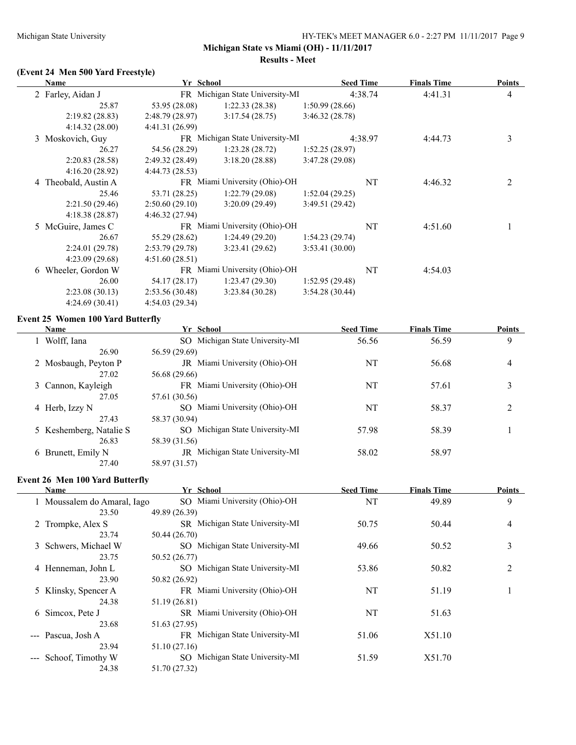#### **Results - Meet**

## **(Event 24 Men 500 Yard Freestyle)**

| Name                 | Yr School       |                                 |                | <b>Seed Time</b> | <b>Finals Time</b> | <b>Points</b>  |
|----------------------|-----------------|---------------------------------|----------------|------------------|--------------------|----------------|
| 2 Farley, Aidan J    |                 | FR Michigan State University-MI |                | 4:38.74          | 4:41.31            | $\overline{4}$ |
| 25.87                | 53.95 (28.08)   | 1:22.33(28.38)                  | 1:50.99(28.66) |                  |                    |                |
| 2:19.82(28.83)       | 2:48.79(28.97)  | 3:17.54(28.75)                  | 3:46.32(28.78) |                  |                    |                |
| 4:14.32(28.00)       | 4:41.31 (26.99) |                                 |                |                  |                    |                |
| 3 Moskovich, Guy     |                 | FR Michigan State University-MI |                | 4:38.97          | 4:44.73            | 3              |
| 26.27                | 54.56 (28.29)   | 1:23.28(28.72)                  | 1:52.25(28.97) |                  |                    |                |
| 2:20.83(28.58)       | 2:49.32(28.49)  | 3:18.20(28.88)                  | 3:47.28(29.08) |                  |                    |                |
| 4:16.20(28.92)       | 4:44.73 (28.53) |                                 |                |                  |                    |                |
| 4 Theobald, Austin A |                 | FR Miami University (Ohio)-OH   |                | NT               | 4:46.32            | 2              |
| 25.46                | 53.71 (28.25)   | 1:22.79(29.08)                  | 1:52.04(29.25) |                  |                    |                |
| 2:21.50(29.46)       | 2:50.60(29.10)  | 3:20.09(29.49)                  | 3:49.51(29.42) |                  |                    |                |
| 4:18.38(28.87)       | 4:46.32(27.94)  |                                 |                |                  |                    |                |
| 5 McGuire, James C   |                 | FR Miami University (Ohio)-OH   |                | NT               | 4:51.60            |                |
| 26.67                | 55.29 (28.62)   | 1:24.49(29.20)                  | 1:54.23(29.74) |                  |                    |                |
| 2:24.01(29.78)       | 2:53.79(29.78)  | 3:23.41(29.62)                  | 3:53.41(30.00) |                  |                    |                |
| 4:23.09(29.68)       | 4:51.60(28.51)  |                                 |                |                  |                    |                |
| 6 Wheeler, Gordon W  |                 | FR Miami University (Ohio)-OH   |                | NT               | 4:54.03            |                |
| 26.00                | 54.17 (28.17)   | 1:23.47(29.30)                  | 1:52.95(29.48) |                  |                    |                |
| 2:23.08(30.13)       | 2:53.56(30.48)  | 3:23.84(30.28)                  | 3:54.28(30.44) |                  |                    |                |
| 4:24.69(30.41)       | 4:54.03(29.34)  |                                 |                |                  |                    |                |

### **Event 25 Women 100 Yard Butterfly**

 $\overline{a}$ 

| <b>Name</b>             | Yr School                       | <b>Seed Time</b> | <b>Finals Time</b> | <b>Points</b> |
|-------------------------|---------------------------------|------------------|--------------------|---------------|
| 1 Wolff, Iana           | SO Michigan State University-MI | 56.56            | 56.59              | 9             |
| 26.90                   | 56.59 (29.69)                   |                  |                    |               |
| 2 Mosbaugh, Peyton P    | JR Miami University (Ohio)-OH   | NT               | 56.68              | 4             |
| 27.02                   | 56.68 (29.66)                   |                  |                    |               |
| 3 Cannon, Kayleigh      | FR Miami University (Ohio)-OH   | NT               | 57.61              |               |
| 27.05                   | 57.61 (30.56)                   |                  |                    |               |
| 4 Herb, Izzy N          | SO Miami University (Ohio)-OH   | NT               | 58.37              | 2             |
| 27.43                   | 58.37 (30.94)                   |                  |                    |               |
| 5 Keshemberg, Natalie S | SO Michigan State University-MI | 57.98            | 58.39              |               |
| 26.83                   | 58.39 (31.56)                   |                  |                    |               |
| 6 Brunett, Emily N      | JR Michigan State University-MI | 58.02            | 58.97              |               |
| 27.40                   | 58.97 (31.57)                   |                  |                    |               |

#### **Event 26 Men 100 Yard Butterfly**

| <b>Name</b>                 | Yr School                       | <b>Seed Time</b> | <b>Finals Time</b> | <b>Points</b> |
|-----------------------------|---------------------------------|------------------|--------------------|---------------|
| 1 Moussalem do Amaral, Iago | SO Miami University (Ohio)-OH   | NT               | 49.89              | 9             |
| 23.50                       | 49.89 (26.39)                   |                  |                    |               |
| 2 Trompke, Alex S           | SR Michigan State University-MI | 50.75            | 50.44              | 4             |
| 23.74                       | 50.44 (26.70)                   |                  |                    |               |
| 3 Schwers, Michael W        | SO Michigan State University-MI | 49.66            | 50.52              | 3             |
| 23.75                       | 50.52 (26.77)                   |                  |                    |               |
| 4 Henneman, John L          | SO Michigan State University-MI | 53.86            | 50.82              | 2             |
| 23.90                       | 50.82 (26.92)                   |                  |                    |               |
| 5 Klinsky, Spencer A        | FR Miami University (Ohio)-OH   | NT               | 51.19              |               |
| 24.38                       | 51.19 (26.81)                   |                  |                    |               |
| 6 Simcox, Pete J            | SR Miami University (Ohio)-OH   | NT               | 51.63              |               |
| 23.68                       | 51.63 (27.95)                   |                  |                    |               |
| --- Pascua, Josh A          | FR Michigan State University-MI | 51.06            | X51.10             |               |
| 23.94                       | 51.10 (27.16)                   |                  |                    |               |
| Schoof, Timothy W           | SO Michigan State University-MI | 51.59            | X51.70             |               |
| 24.38                       | 51.70 (27.32)                   |                  |                    |               |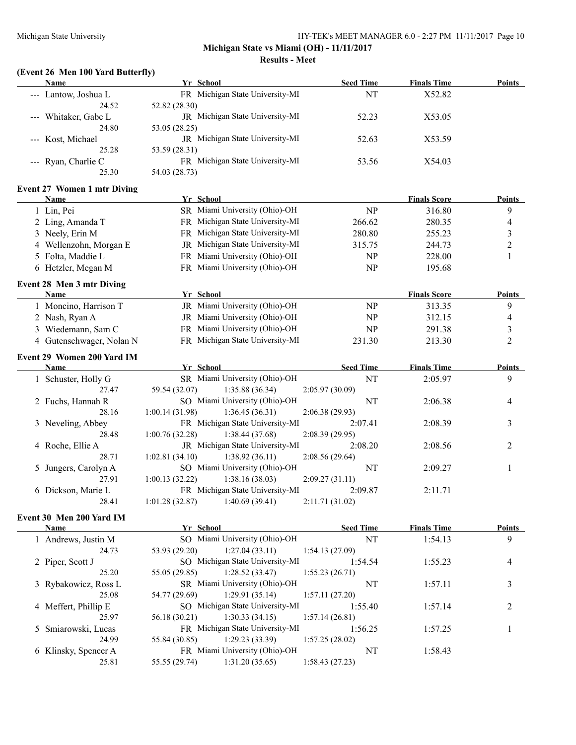#### **Michigan State vs Miami (OH) - 11/11/2017 Results - Meet**

#### **(Event 26 Men 100 Yard Butterfly) Name Yr School Seed Time Finals Time Points**

| --- Lantow, Joshua L               | FR Michigan State University-MI                  | NT               | X52.82              |                |
|------------------------------------|--------------------------------------------------|------------------|---------------------|----------------|
| 24.52<br>Whitaker, Gabe L          | 52.82 (28.30)<br>JR Michigan State University-MI | 52.23            | X53.05              |                |
| 24.80                              | 53.05 (28.25)                                    |                  |                     |                |
| Kost, Michael                      | JR Michigan State University-MI                  | 52.63            | X53.59              |                |
| 25.28                              | 53.59 (28.31)                                    |                  |                     |                |
| --- Ryan, Charlie C                | FR Michigan State University-MI                  | 53.56            | X54.03              |                |
| 25.30                              | 54.03 (28.73)                                    |                  |                     |                |
|                                    |                                                  |                  |                     |                |
| <b>Event 27 Women 1 mtr Diving</b> |                                                  |                  |                     |                |
| <b>Name</b>                        | Yr School<br>SR Miami University (Ohio)-OH       |                  | <b>Finals Score</b> | <b>Points</b>  |
| 1 Lin, Pei                         |                                                  | NP               | 316.80              | 9              |
| 2 Ling, Amanda T                   | FR Michigan State University-MI                  | 266.62           | 280.35              | 4              |
| 3 Neely, Erin M                    | FR Michigan State University-MI                  | 280.80           | 255.23              | 3              |
| 4 Wellenzohn, Morgan E             | JR Michigan State University-MI                  | 315.75           | 244.73              | $\overline{c}$ |
| 5 Folta, Maddie L                  | FR Miami University (Ohio)-OH                    | <b>NP</b>        | 228.00              | $\mathbf{1}$   |
| 6 Hetzler, Megan M                 | FR Miami University (Ohio)-OH                    | <b>NP</b>        | 195.68              |                |
| Event 28 Men 3 mtr Diving          |                                                  |                  |                     |                |
| <b>Name</b>                        | Yr School                                        |                  | <b>Finals Score</b> | <b>Points</b>  |
| 1 Moncino, Harrison T              | JR Miami University (Ohio)-OH                    | NP               | 313.35              | 9              |
| 2 Nash, Ryan A                     | JR Miami University (Ohio)-OH                    | <b>NP</b>        | 312.15              | 4              |
| 3 Wiedemann, Sam C                 | FR Miami University (Ohio)-OH                    | <b>NP</b>        | 291.38              | 3              |
| 4 Gutenschwager, Nolan N           | FR Michigan State University-MI                  | 231.30           | 213.30              | 2              |
|                                    |                                                  |                  |                     |                |
| Event 29 Women 200 Yard IM         |                                                  |                  |                     |                |
| Name                               | Yr School                                        | <b>Seed Time</b> | <b>Finals Time</b>  | <b>Points</b>  |
| 1 Schuster, Holly G                | SR Miami University (Ohio)-OH                    | NT               | 2:05.97             | 9              |
| 27.47                              | 59.54 (32.07)<br>1:35.88(36.34)                  | 2:05.97(30.09)   |                     |                |
| 2 Fuchs, Hannah R                  | SO Miami University (Ohio)-OH                    | NT               | 2:06.38             | 4              |
| 28.16                              | 1:00.14 (31.98)<br>1:36.45(36.31)                | 2:06.38(29.93)   |                     |                |
| 3 Neveling, Abbey                  | FR Michigan State University-MI                  | 2:07.41          | 2:08.39             | 3              |
| 28.48                              | 1:00.76 (32.28)<br>1:38.44(37.68)                | 2:08.39 (29.95)  |                     |                |
| 4 Roche, Ellie A                   | JR Michigan State University-MI                  | 2:08.20          | 2:08.56             | 2              |
| 28.71                              | 1:38.92(36.11)<br>1:02.81(34.10)                 | 2:08.56 (29.64)  |                     |                |
| 5 Jungers, Carolyn A               | SO Miami University (Ohio)-OH                    | NT               | 2:09.27             | 1              |
| 27.91                              | 1:00.13(32.22)<br>1:38.16(38.03)                 | 2:09.27(31.11)   |                     |                |
| 6 Dickson, Marie L                 | FR Michigan State University-MI                  | 2:09.87          | 2:11.71             |                |
| 28.41                              | 1:01.28(32.87)<br>1:40.69(39.41)                 | 2:11.71(31.02)   |                     |                |
| Event 30 Men 200 Yard IM           |                                                  |                  |                     |                |
| <b>Name</b>                        | Yr School                                        | <b>Seed Time</b> | <b>Finals Time</b>  | <b>Points</b>  |
| 1 Andrews, Justin M                | SO Miami University (Ohio)-OH                    | NT               | 1:54.13             | 9              |
| 24.73                              | 53.93 (29.20)<br>1:27.04(33.11)                  | 1:54.13(27.09)   |                     |                |
| 2 Piper, Scott J                   | SO Michigan State University-MI                  | 1:54.54          | 1:55.23             | 4              |
| 25.20                              | 55.05 (29.85)<br>1:28.52(33.47)                  | 1:55.23(26.71)   |                     |                |
| 3 Rybakowicz, Ross L               | SR Miami University (Ohio)-OH                    | NT               | 1:57.11             | 3              |
| 25.08                              | 1:29.91(35.14)<br>54.77 (29.69)                  | 1:57.11(27.20)   |                     |                |
| 4 Meffert, Phillip E               | SO Michigan State University-MI                  | 1:55.40          | 1:57.14             | 2              |
| 25.97                              | 1:30.33(34.15)<br>56.18 (30.21)                  | 1:57.14(26.81)   |                     |                |
| 5 Smiarowski, Lucas                | FR Michigan State University-MI                  | 1:56.25          | 1:57.25             | 1              |
| 24.99                              | 1:29.23 (33.39)<br>55.84 (30.85)                 | 1:57.25(28.02)   |                     |                |
| 6 Klinsky, Spencer A               | FR Miami University (Ohio)-OH                    | NT               | 1:58.43             |                |
| 25.81                              | 1:31.20(35.65)<br>55.55 (29.74)                  | 1:58.43(27.23)   |                     |                |
|                                    |                                                  |                  |                     |                |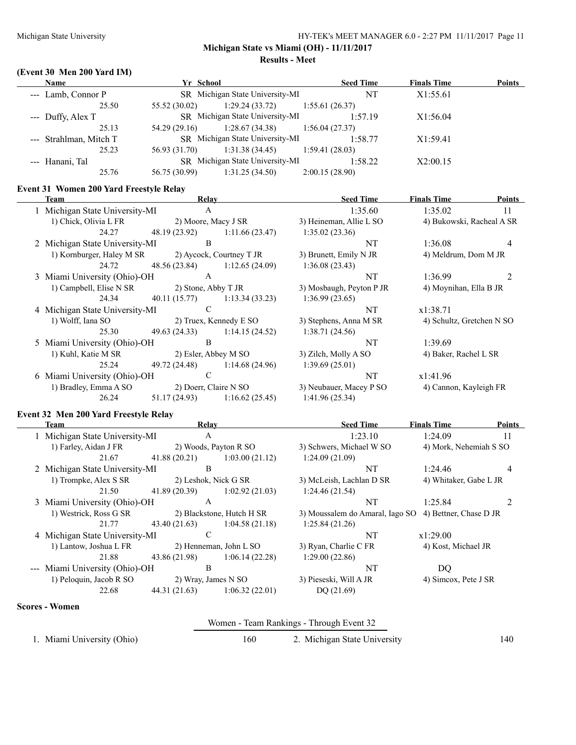**Results - Meet**

## **(Event 30 Men 200 Yard IM)**

| <b>Name</b>            | Yr School     |                                   | <b>Seed Time</b> | <b>Finals Time</b> | <b>Points</b> |
|------------------------|---------------|-----------------------------------|------------------|--------------------|---------------|
| --- Lamb, Connor P     |               | SR Michigan State University-MI   | NT               | X1:55.61           |               |
| 25.50                  | 55.52 (30.02) | $1:29.24(33.72)$ $1:55.61(26.37)$ |                  |                    |               |
| $-$ Duffy, Alex T      |               | SR Michigan State University-MI   | 1:57.19          | X1:56.04           |               |
| 25.13                  | 54.29 (29.16) | $1:28.67(34.38)$ $1:56.04(27.37)$ |                  |                    |               |
| --- Strahlman, Mitch T |               | SR Michigan State University-MI   | 1:58.77          | X1:59.41           |               |
| 25.23                  | 56.93 (31.70) | 1:31.38(34.45)                    | 1:59.41(28.03)   |                    |               |
| --- Hanani, Tal        |               | SR Michigan State University-MI   | 1:58.22          | X2:00.15           |               |
| 25.76                  | 56.75 (30.99) | 1:31.25(34.50)                    | 2:00.15(28.90)   |                    |               |

#### **Event 31 Women 200 Yard Freestyle Relay**

| Team                                        | Relay                 |                          | <b>Seed Time</b>         | <b>Finals Time</b>        | <b>Points</b>  |
|---------------------------------------------|-----------------------|--------------------------|--------------------------|---------------------------|----------------|
| 1 Michigan State University-MI              | A                     |                          | 1:35.60                  | 1:35.02                   | 11             |
| 1) Chick, Olivia L FR                       | 2) Moore, Macy J SR   |                          | 3) Heineman, Allie L SO  | 4) Bukowski, Racheal A SR |                |
| 24.27                                       | 48.19 (23.92)         | 1:11.66(23.47)           | 1:35.02(23.36)           |                           |                |
| 2 Michigan State University-MI              | B                     |                          | NT                       | 1:36.08                   | $\overline{4}$ |
| 1) Kornburger, Haley M SR                   |                       | 2) Aycock, Courtney T JR | 3) Brunett, Emily N JR   | 4) Meldrum, Dom M JR      |                |
| 24.72                                       | 48.56 (23.84)         | 1:12.65(24.09)           | 1:36.08(23.43)           |                           |                |
| 3 Miami University (Ohio)-OH                | A                     |                          | NT                       | 1:36.99                   | $\mathfrak{D}$ |
| 1) Campbell, Elise N SR 2) Stone, Abby T JR |                       |                          | 3) Mosbaugh, Peyton P JR | 4) Moynihan, Ella B JR    |                |
| 24.34                                       | 40.11 (15.77)         | 1:13.34(33.23)           | 1:36.99(23.65)           |                           |                |
| 4 Michigan State University-MI              | $\mathcal{C}$         |                          | NT                       | x1:38.71                  |                |
| 1) Wolff, Iana SO                           |                       | 2) Truex, Kennedy E SO   | 3) Stephens, Anna M SR   | 4) Schultz, Gretchen N SO |                |
| 25.30                                       | 49.63 (24.33)         | 1:14.15(24.52)           | 1:38.71(24.56)           |                           |                |
| 5 Miami University (Ohio)-OH                | B                     |                          | NT                       | 1:39.69                   |                |
| 1) Kuhl, Katie M SR                         | 2) Esler, Abbey M SO  |                          | 3) Zilch, Molly A SO     | 4) Baker, Rachel L SR     |                |
| 25.24                                       | 49.72 (24.48)         | 1:14.68 (24.96)          | 1:39.69(25.01)           |                           |                |
| 6 Miami University (Ohio)-OH                | C                     |                          | NT                       | x1:41.96                  |                |
| 1) Bradley, Emma A SO                       | 2) Doerr, Claire N SO |                          | 3) Neubauer, Macey P SO  | 4) Cannon, Kayleigh FR    |                |
| 26.24                                       | 51.17 (24.93)         | 1:16.62(25.45)           | 1:41.96(25.34)           |                           |                |
|                                             |                       |                          |                          |                           |                |

## **Event 32 Men 200 Yard Freestyle Relay**

| Team                           | Relay         |                           | <b>Seed Time</b>                                       | <b>Finals Time</b>     | <b>Points</b> |
|--------------------------------|---------------|---------------------------|--------------------------------------------------------|------------------------|---------------|
| 1 Michigan State University-MI | A             |                           | 1:23.10                                                | 1:24.09                | 11            |
| 1) Farley, Aidan J FR          |               | 2) Woods, Payton R SO     | 3) Schwers, Michael W SO                               | 4) Mork, Nehemiah S SO |               |
| 21.67                          | 41.88(20.21)  | 1:03.00(21.12)            | 1:24.09(21.09)                                         |                        |               |
| 2 Michigan State University-MI | B             |                           | NT                                                     | 1:24.46                | 4             |
| 1) Trompke, Alex S SR          |               | 2) Leshok, Nick G SR      | 3) McLeish, Lachlan D SR                               | 4) Whitaker, Gabe L JR |               |
| 21.50                          | 41.89(20.39)  | 1:02.92(21.03)            | 1:24.46(21.54)                                         |                        |               |
| 3 Miami University (Ohio)-OH   | A             |                           | NT                                                     | 1:25.84                |               |
| 1) Westrick, Ross G SR         |               | 2) Blackstone, Hutch H SR | 3) Moussalem do Amaral, Iago SO 4) Bettner, Chase D JR |                        |               |
| 21.77                          | 43.40(21.63)  | 1:04.58(21.18)            | 1:25.84(21.26)                                         |                        |               |
| 4 Michigan State University-MI | C             |                           | NT                                                     | x1:29.00               |               |
| 1) Lantow, Joshua L FR         |               | 2) Henneman, John L SO    | 3) Ryan, Charlie C FR                                  | 4) Kost, Michael JR    |               |
| 21.88                          | 43.86 (21.98) | 1:06.14(22.28)            | 1:29.00(22.86)                                         |                        |               |
| --- Miami University (Ohio)-OH | B             |                           | NT                                                     | DQ                     |               |
| 1) Peloquin, Jacob R SO        |               | 2) Wray, James N SO       | 3) Pieseski, Will A JR                                 | 4) Simcox, Pete J SR   |               |
| 22.68                          | 44.31(21.63)  | 1:06.32(22.01)            | DQ(21.69)                                              |                        |               |

#### **Scores - Women**

|                            |     | Women - Team Rankings - Through Event 32 |     |
|----------------------------|-----|------------------------------------------|-----|
| 1. Miami University (Ohio) | 160 | 2. Michigan State University             | 140 |